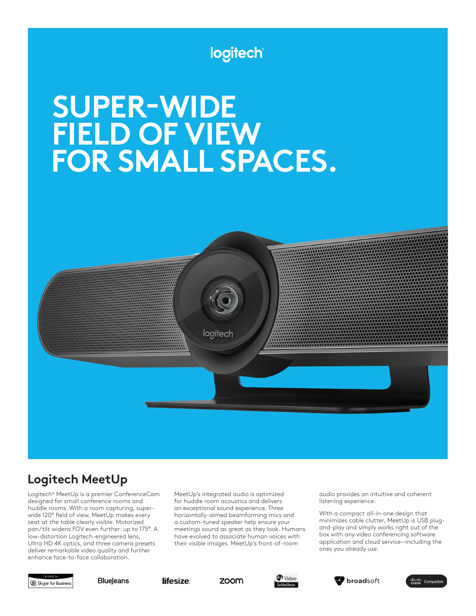# logitech

# **SUPER-WIDE FIELD OF VIEW FOR SMALL SPACES.**



# **Logitech MeetUp**

Logitech® MeetUp is a premier ConferenceCam designed for small conference rooms and huddle rooms. With a room capturing, superwide 120° field of view, MeetUp makes every seat at the table clearly visible. Motorized pan/tilt widens FOV even further: up to 175°. A low-distortion Logitech-engineered lens, Ultra HD 4K optics, and three camera presets deliver remarkable video quality and further enhance face-to-face collaboration.

MeetUp's integrated audio is optimized for huddle room acoustics and delivers an exceptional sound experience. Three horizontally-aimed beamforming mics and a custom-tuned speaker help ensure your meetings sound as great as they look. Humans have evolved to associate human voices with their visible images. MeetUp's front-of-room

audio provides an intuitive and coherent listening experience.

With a compact all-in-one design that minimizes cable clutter, MeetUp is USB plugand-play and simply works right out of the box with any video conferencing software application and cloud service—including the ones you already use.



**BlueJeans** 

lifesize.

zoom